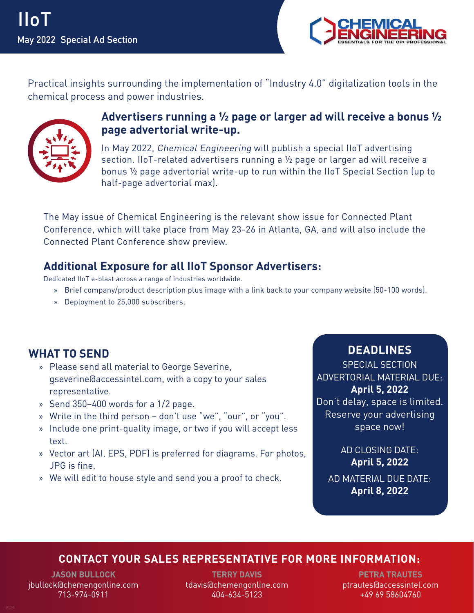

Practical insights surrounding the implementation of "Industry 4.0" digitalization tools in the chemical process and power industries.



## **Advertisers running a ½ page or larger ad will receive a bonus ½ page advertorial write-up.**

In May 2022, Chemical Engineering will publish a special IIoT advertising section. IIoT-related advertisers running a ½ page or larger ad will receive a bonus ½ page advertorial write-up to run within the IIoT Special Section (up to half-page advertorial max).

The May issue of Chemical Engineering is the relevant show issue for Connected Plant Conference, which will take place from May 23-26 in Atlanta, GA, and will also include the Connected Plant Conference show preview.

### **Additional Exposure for all IIoT Sponsor Advertisers:**

Dedicated IIoT e-blast across a range of industries worldwide.

- » Brief company/product description plus image with a link back to your company website (50-100 words).
- » Deployment to 25,000 subscribers.

# **WHAT TO SEND**

- » Please send all material to George Severine, gseverine@accessintel.com, with a copy to your sales representative.
- » Send 350–400 words for a 1/2 page.
- » Write in the third person don't use "we", "our", or "you".
- » Include one print-quality image, or two if you will accept less text.
- » Vector art (AI, EPS, PDF) is preferred for diagrams. For photos, JPG is fine.
- » We will edit to house style and send you a proof to check.

# **DEADLINES**

SPECIAL SECTION ADVERTORIAL MATERIAL DUE: **April 5, 2022** Don't delay, space is limited. Reserve your advertising space now!

AD CLOSING DATE: **April 5, 2022** AD MATERIAL DUE DATE: **April 8, 2022**

#### **CONTACT YOUR SALES REPRESENTATIVE FOR MORE INFORMATION:**

**JASON BULLOCK** jbullock@chemengonline.com 713-974-0911

**TERRY DAVIS** tdavis@chemengonline.com 404-634-5123

**PETRA TRAUTES** ptrautes@accessintel.com +49 69 58604760